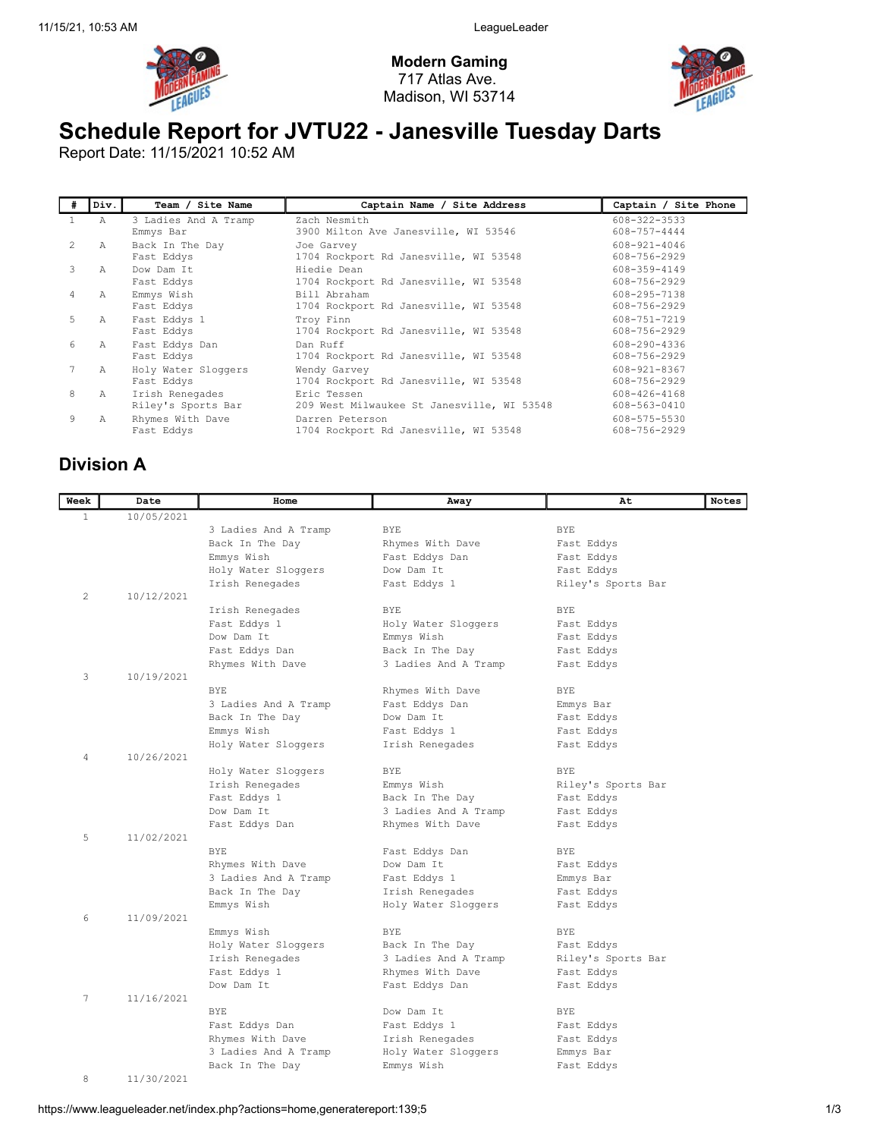

Modern Gaming 717 Atlas Ave. Madison, WI 53714



## Schedule Report for JVTU22 - Janesville Tuesday Darts

Report Date: 11/15/2021 10:52 AM

| #  | Div.           | Team / Site Name                      | Captain Name / Site Address                               | Captain / Site Phone         |
|----|----------------|---------------------------------------|-----------------------------------------------------------|------------------------------|
|    | Α              | 3 Ladies And A Tramp<br>Emmys Bar     | Zach Nesmith<br>3900 Milton Ave Janesville, WI 53546      | 608-322-3533<br>608-757-4444 |
| 2. | Α              | Back In The Day<br>Fast Eddys         | Joe Garvey<br>1704 Rockport Rd Janesville, WI 53548       | 608-921-4046<br>608-756-2929 |
| 3  | $\overline{A}$ | Dow Dam It<br>Fast Eddys              | Hiedie Dean<br>1704 Rockport Rd Janesville, WI 53548      | 608-359-4149<br>608-756-2929 |
| 4  | Α              | Emmys Wish<br>Fast Eddys              | Bill Abraham<br>1704 Rockport Rd Janesville, WI 53548     | 608-295-7138<br>608-756-2929 |
| 5. | Α              | Fast Eddys 1<br>Fast Eddys            | Troy Finn<br>1704 Rockport Rd Janesville, WI 53548        | 608-751-7219<br>608-756-2929 |
| 6  | Α              | Fast Eddys Dan<br>Fast Eddys          | Dan Ruff<br>1704 Rockport Rd Janesville, WI 53548         | 608-290-4336<br>608-756-2929 |
|    | Α              | Holy Water Sloggers<br>Fast Eddys     | Wendy Garvey<br>1704 Rockport Rd Janesville, WI 53548     | 608-921-8367<br>608-756-2929 |
| 8  | Α              | Irish Renegades<br>Riley's Sports Bar | Eric Tessen<br>209 West Milwaukee St Janesville, WI 53548 | 608-426-4168<br>608-563-0410 |
| 9  | Α              | Rhymes With Dave<br>Fast Eddys        | Darren Peterson<br>1704 Rockport Rd Janesville, WI 53548  | 608-575-5530<br>608-756-2929 |

## Division A

| Week | Date       | Home                 | Away                 | At                 | <b>Notes</b> |
|------|------------|----------------------|----------------------|--------------------|--------------|
| 1    | 10/05/2021 |                      |                      |                    |              |
|      |            | 3 Ladies And A Tramp | <b>BYE</b>           | <b>BYE</b>         |              |
|      |            | Back In The Day      | Rhymes With Dave     | Fast Eddys         |              |
|      |            | Emmys Wish           | Fast Eddys Dan       | Fast Eddys         |              |
|      |            | Holy Water Sloggers  | Dow Dam It           | Fast Eddys         |              |
|      |            | Irish Renegades      | Fast Eddys 1         | Riley's Sports Bar |              |
| 2    | 10/12/2021 |                      |                      |                    |              |
|      |            | Irish Renegades      | <b>BYE</b>           | <b>BYE</b>         |              |
|      |            | Fast Eddys 1         | Holy Water Sloggers  | Fast Eddys         |              |
|      |            | Dow Dam It           | Emmys Wish           | Fast Eddys         |              |
|      |            | Fast Eddys Dan       | Back In The Day      | Fast Eddys         |              |
|      |            | Rhymes With Dave     | 3 Ladies And A Tramp | Fast Eddys         |              |
| 3    | 10/19/2021 |                      |                      |                    |              |
|      |            | BYE.                 | Rhymes With Dave     | <b>BYE</b>         |              |
|      |            | 3 Ladies And A Tramp | Fast Eddys Dan       | Emmys Bar          |              |
|      |            | Back In The Day      | Dow Dam It           | Fast Eddys         |              |
|      |            | Emmys Wish           | Fast Eddys 1         | Fast Eddys         |              |
|      |            | Holy Water Sloggers  | Irish Renegades      | Fast Eddys         |              |
| 4    | 10/26/2021 |                      |                      |                    |              |
|      |            | Holy Water Sloggers  | BYE                  | <b>BYE</b>         |              |
|      |            | Irish Renegades      | Emmys Wish           | Riley's Sports Bar |              |
|      |            | Fast Eddys 1         | Back In The Day      | Fast Eddys         |              |
|      |            | Dow Dam It           | 3 Ladies And A Tramp | Fast Eddys         |              |
|      |            | Fast Eddys Dan       | Rhymes With Dave     | Fast Eddys         |              |
| 5    | 11/02/2021 |                      |                      |                    |              |
|      |            | <b>BYE</b>           | Fast Eddys Dan       | <b>BYE</b>         |              |
|      |            | Rhymes With Dave     | Dow Dam It           | Fast Eddys         |              |
|      |            | 3 Ladies And A Tramp | Fast Eddys 1         | Emmys Bar          |              |
|      |            | Back In The Day      | Irish Renegades      | Fast Eddys         |              |
|      |            | Emmys Wish           | Holy Water Sloggers  | Fast Eddys         |              |
| 6    | 11/09/2021 |                      |                      |                    |              |
|      |            | Emmys Wish           | <b>BYE</b>           | BYE                |              |
|      |            | Holy Water Sloggers  | Back In The Day      | Fast Eddys         |              |
|      |            | Irish Renegades      | 3 Ladies And A Tramp | Riley's Sports Bar |              |
|      |            | Fast Eddys 1         | Rhymes With Dave     | Fast Eddys         |              |
|      |            | Dow Dam It           | Fast Eddys Dan       | Fast Eddys         |              |
| 7    | 11/16/2021 |                      |                      |                    |              |
|      |            | <b>BYE</b>           | Dow Dam It           | <b>BYE</b>         |              |
|      |            | Fast Eddys Dan       | Fast Eddys 1         | Fast Eddys         |              |
|      |            | Rhymes With Dave     | Irish Renegades      | Fast Eddys         |              |
|      |            | 3 Ladies And A Tramp | Holy Water Sloggers  | Emmys Bar          |              |
|      |            | Back In The Day      | Emmys Wish           | Fast Eddys         |              |
| 8    | 11/30/2021 |                      |                      |                    |              |

https://www.leagueleader.net/index.php?actions=home,generatereport:139;5 1/3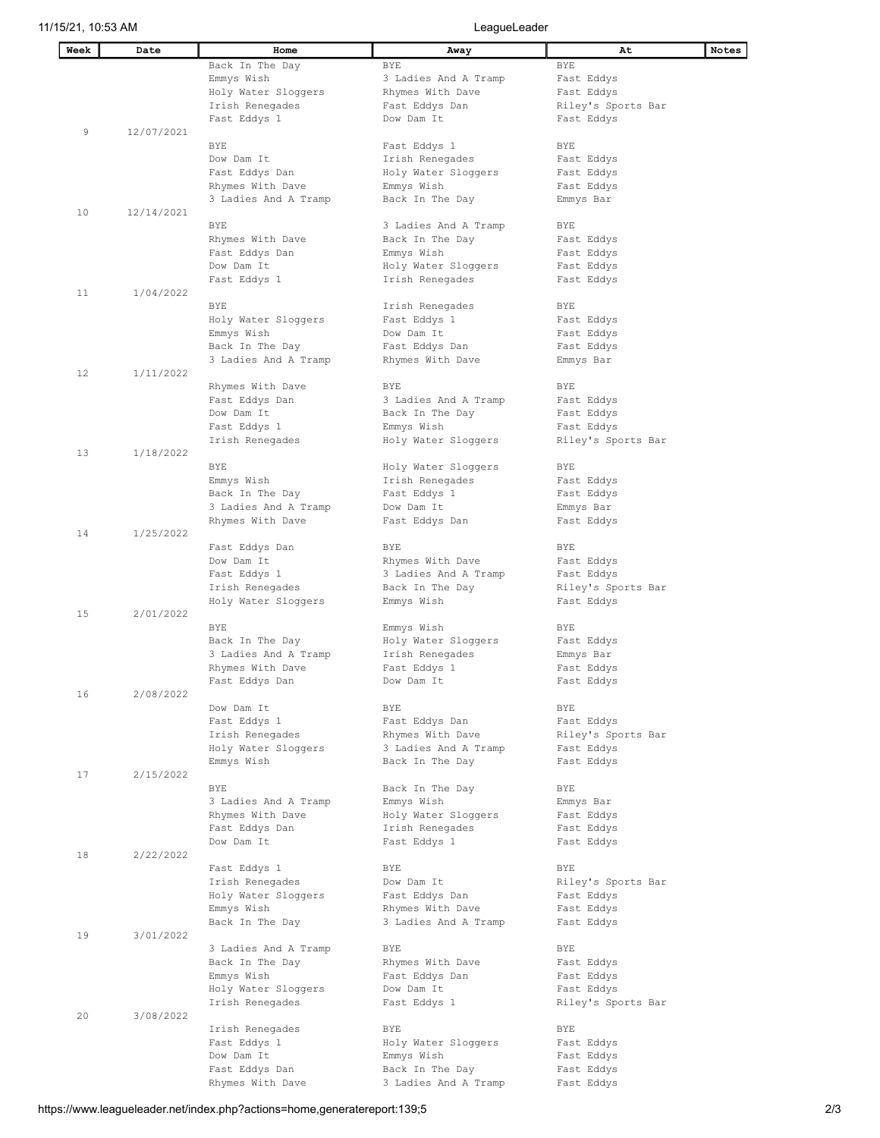| Week | Date       | Home                       | Away                  | At                 | Notes |
|------|------------|----------------------------|-----------------------|--------------------|-------|
|      |            | Back In The Day            | <b>BYE</b>            | <b>BYE</b>         |       |
|      |            | Emmys Wish                 | 3 Ladies And A Tramp  | Fast Eddys         |       |
|      |            | Holy Water Sloggers        | Rhymes With Dave      | Fast Eddys         |       |
|      |            | Irish Renegades            | Fast Eddys Dan        | Riley's Sports Bar |       |
|      |            | Fast Eddys 1               | Dow Dam It            | Fast Eddys         |       |
| 9    | 12/07/2021 |                            |                       |                    |       |
|      |            | <b>BYE</b>                 | Fast Eddys 1          | BYE                |       |
|      |            | Dow Dam It                 | Irish Renegades       | Fast Eddys         |       |
|      |            | Fast Eddys Dan             | Holy Water Sloggers   | Fast Eddys         |       |
|      |            | Rhymes With Dave           | Emmys Wish            | Fast Eddys         |       |
|      |            | 3 Ladies And A Tramp       | Back In The Day       | Emmys Bar          |       |
| 10   | 12/14/2021 | <b>BYE</b>                 | 3 Ladies And A Tramp  | BYE                |       |
|      |            | Rhymes With Dave           | Back In The Day       | Fast Eddys         |       |
|      |            | Fast Eddys Dan             | Emmys Wish            | Fast Eddys         |       |
|      |            | Dow Dam It                 | Holy Water Sloggers   | Fast Eddys         |       |
|      |            | Fast Eddys 1               | Irish Renegades       | Fast Eddys         |       |
| 11   | 1/04/2022  |                            |                       |                    |       |
|      |            | BYE                        | Irish Renegades       | BYE                |       |
|      |            | Holy Water Sloggers        | Fast Eddys 1          | Fast Eddys         |       |
|      |            | Emmys Wish                 | Dow Dam It            | Fast Eddys         |       |
|      |            | Back In The Day            | Fast Eddys Dan        | Fast Eddys         |       |
|      |            | 3 Ladies And A Tramp       | Rhymes With Dave      | Emmys Bar          |       |
| 12   | 1/11/2022  |                            |                       |                    |       |
|      |            | Rhymes With Dave           | BYE                   | BYE                |       |
|      |            | Fast Eddys Dan             | 3 Ladies And A Tramp  | Fast Eddys         |       |
|      |            | Dow Dam It                 | Back In The Day       | Fast Eddys         |       |
|      |            | Fast Eddys 1               | Emmys Wish            | Fast Eddys         |       |
|      |            | Irish Renegades            | Holy Water Sloggers   | Riley's Sports Bar |       |
| 13   | 1/18/2022  |                            |                       |                    |       |
|      |            | BYE                        | Holy Water Sloggers   | BYE                |       |
|      |            | Emmys Wish                 | Irish Renegades       | Fast Eddys         |       |
|      |            | Back In The Day            | Fast Eddys 1          | Fast Eddys         |       |
|      |            | 3 Ladies And A Tramp       | Dow Dam It            | Emmys Bar          |       |
| 14   | 1/25/2022  | Rhymes With Dave           | Fast Eddys Dan        | Fast Eddys         |       |
|      |            | Fast Eddys Dan             | BYE                   | BYE                |       |
|      |            | Dow Dam It                 | Rhymes With Dave      | Fast Eddys         |       |
|      |            | Fast Eddys 1               | 3 Ladies And A Tramp  | Fast Eddys         |       |
|      |            | Irish Renegades            | Back In The Day       | Riley's Sports Bar |       |
|      |            | Holy Water Sloggers        | Emmys Wish            | Fast Eddys         |       |
| 15   | 2/01/2022  |                            |                       |                    |       |
|      |            | BYE                        | Emmys Wish            | BYE                |       |
|      |            | Back In The Day            | Holy Water Sloggers   | Fast Eddys         |       |
|      |            | 3 Ladies And A Tramp       | Irish Renegades       | Emmys Bar          |       |
|      |            | Rhymes With Dave           | Fast Eddys 1          | Fast Eddys         |       |
|      |            | Fast Eddys Dan             | Dow Dam It            | Fast Eddys         |       |
| 16   | 2/08/2022  |                            |                       |                    |       |
|      |            | Dow Dam It<br>Fast Eddys 1 | BYE<br>Fast Eddys Dan | BYE<br>Fast Eddys  |       |
|      |            | Irish Renegades            | Rhymes With Dave      | Riley's Sports Bar |       |
|      |            | Holy Water Sloggers        | 3 Ladies And A Tramp  | Fast Eddys         |       |
|      |            | Emmys Wish                 | Back In The Day       | Fast Eddys         |       |
| 17   | 2/15/2022  |                            |                       |                    |       |
|      |            | <b>BYE</b>                 | Back In The Day       | BYE                |       |
|      |            | 3 Ladies And A Tramp       | Emmys Wish            | Emmys Bar          |       |
|      |            | Rhymes With Dave           | Holy Water Sloggers   | Fast Eddys         |       |
|      |            | Fast Eddys Dan             | Irish Renegades       | Fast Eddys         |       |
|      |            | Dow Dam It                 | Fast Eddys 1          | Fast Eddys         |       |
| 18   | 2/22/2022  |                            |                       |                    |       |
|      |            | Fast Eddys 1               | <b>BYE</b>            | BYE                |       |
|      |            | Irish Renegades            | Dow Dam It            | Riley's Sports Bar |       |
|      |            | Holy Water Sloggers        | Fast Eddys Dan        | Fast Eddys         |       |
|      |            | Emmys Wish                 | Rhymes With Dave      | Fast Eddys         |       |
| 19   | 3/01/2022  | Back In The Day            | 3 Ladies And A Tramp  | Fast Eddys         |       |
|      |            | 3 Ladies And A Tramp       | BYE                   | BYE                |       |
|      |            | Back In The Day            | Rhymes With Dave      | Fast Eddys         |       |
|      |            | Emmys Wish                 | Fast Eddys Dan        | Fast Eddys         |       |
|      |            | Holy Water Sloggers        | Dow Dam It            | Fast Eddys         |       |
|      |            | Irish Renegades            | Fast Eddys 1          | Riley's Sports Bar |       |
| 20   | 3/08/2022  |                            |                       |                    |       |
|      |            | Irish Renegades            | BYE                   | BYE                |       |
|      |            | Fast Eddys 1               | Holy Water Sloggers   | Fast Eddys         |       |
|      |            | Dow Dam It                 | Emmys Wish            | Fast Eddys         |       |
|      |            | Fast Eddys Dan             | Back In The Day       | Fast Eddys         |       |
|      |            | Rhymes With Dave           | 3 Ladies And A Tramp  | Fast Eddys         |       |